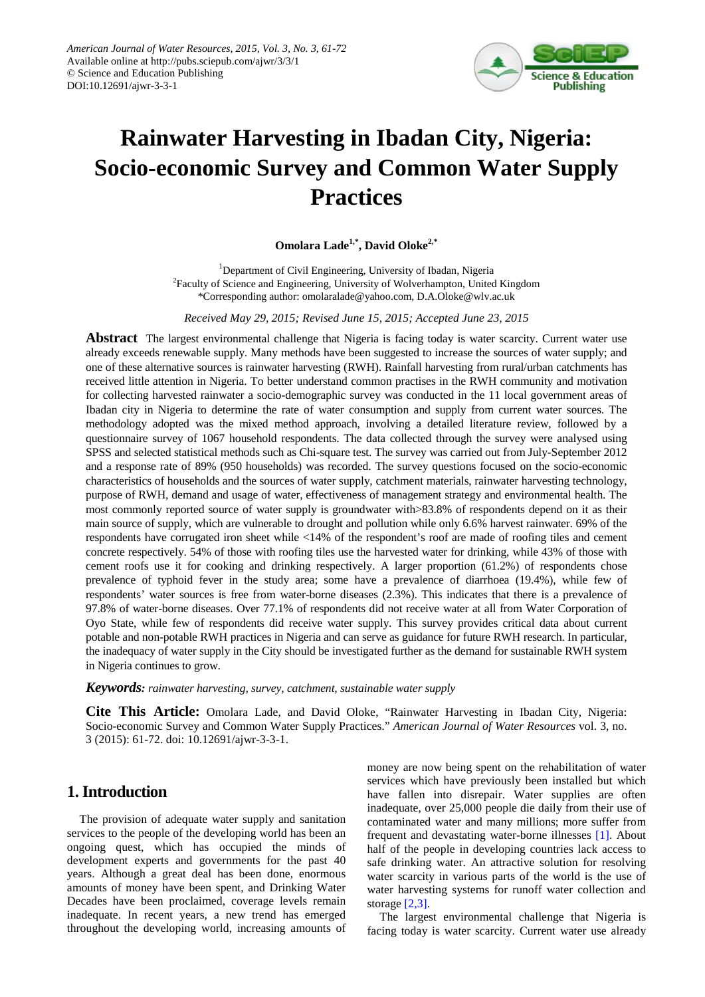

# **Rainwater Harvesting in Ibadan City, Nigeria: Socio-economic Survey and Common Water Supply Practices**

**Omolara Lade1,\*, David Oloke2,\***

<sup>1</sup> Department of Civil Engineering, University of Ibadan, Nigeria <sup>2</sup> Engulty of Science and Engineering, University of Wolverhampton, United <sup>2</sup>Faculty of Science and Engineering, University of Wolverhampton, United Kingdom \*Corresponding author: omolaralade@yahoo.com, D.A.Oloke@wlv.ac.uk

*Received May 29, 2015; Revised June 15, 2015; Accepted June 23, 2015*

**Abstract** The largest environmental challenge that Nigeria is facing today is water scarcity. Current water use already exceeds renewable supply. Many methods have been suggested to increase the sources of water supply; and one of these alternative sources is rainwater harvesting (RWH). Rainfall harvesting from rural/urban catchments has received little attention in Nigeria. To better understand common practises in the RWH community and motivation for collecting harvested rainwater a socio-demographic survey was conducted in the 11 local government areas of Ibadan city in Nigeria to determine the rate of water consumption and supply from current water sources. The methodology adopted was the mixed method approach, involving a detailed literature review, followed by a questionnaire survey of 1067 household respondents. The data collected through the survey were analysed using SPSS and selected statistical methods such as Chi-square test. The survey was carried out from July-September 2012 and a response rate of 89% (950 households) was recorded. The survey questions focused on the socio-economic characteristics of households and the sources of water supply, catchment materials, rainwater harvesting technology, purpose of RWH, demand and usage of water, effectiveness of management strategy and environmental health. The most commonly reported source of water supply is groundwater with>83.8% of respondents depend on it as their main source of supply, which are vulnerable to drought and pollution while only 6.6% harvest rainwater. 69% of the respondents have corrugated iron sheet while <14% of the respondent's roof are made of roofing tiles and cement concrete respectively. 54% of those with roofing tiles use the harvested water for drinking, while 43% of those with cement roofs use it for cooking and drinking respectively. A larger proportion (61.2%) of respondents chose prevalence of typhoid fever in the study area; some have a prevalence of diarrhoea (19.4%), while few of respondents' water sources is free from water-borne diseases (2.3%). This indicates that there is a prevalence of 97.8% of water-borne diseases. Over 77.1% of respondents did not receive water at all from Water Corporation of Oyo State, while few of respondents did receive water supply. This survey provides critical data about current potable and non-potable RWH practices in Nigeria and can serve as guidance for future RWH research. In particular, the inadequacy of water supply in the City should be investigated further as the demand for sustainable RWH system in Nigeria continues to grow.

*Keywords: rainwater harvesting, survey, catchment, sustainable water supply*

**Cite This Article:** Omolara Lade, and David Oloke, "Rainwater Harvesting in Ibadan City, Nigeria: Socio-economic Survey and Common Water Supply Practices." *American Journal of Water Resources* vol. 3, no. 3 (2015): 61-72. doi: 10.12691/ajwr-3-3-1.

# **1. Introduction**

The provision of adequate water supply and sanitation services to the people of the developing world has been an ongoing quest, which has occupied the minds of development experts and governments for the past 40 years. Although a great deal has been done, enormous amounts of money have been spent, and Drinking Water Decades have been proclaimed, coverage levels remain inadequate. In recent years, a new trend has emerged throughout the developing world, increasing amounts of money are now being spent on the rehabilitation of water services which have previously been installed but which have fallen into disrepair. Water supplies are often inadequate, over 25,000 people die daily from their use of contaminated water and many millions; more suffer from frequent and devastating water-borne illnesses [\[1\].](#page-10-0) About half of the people in developing countries lack access to safe drinking water. An attractive solution for resolving water scarcity in various parts of the world is the use of water harvesting systems for runoff water collection and storage [\[2,3\].](#page-10-1)

The largest environmental challenge that Nigeria is facing today is water scarcity. Current water use already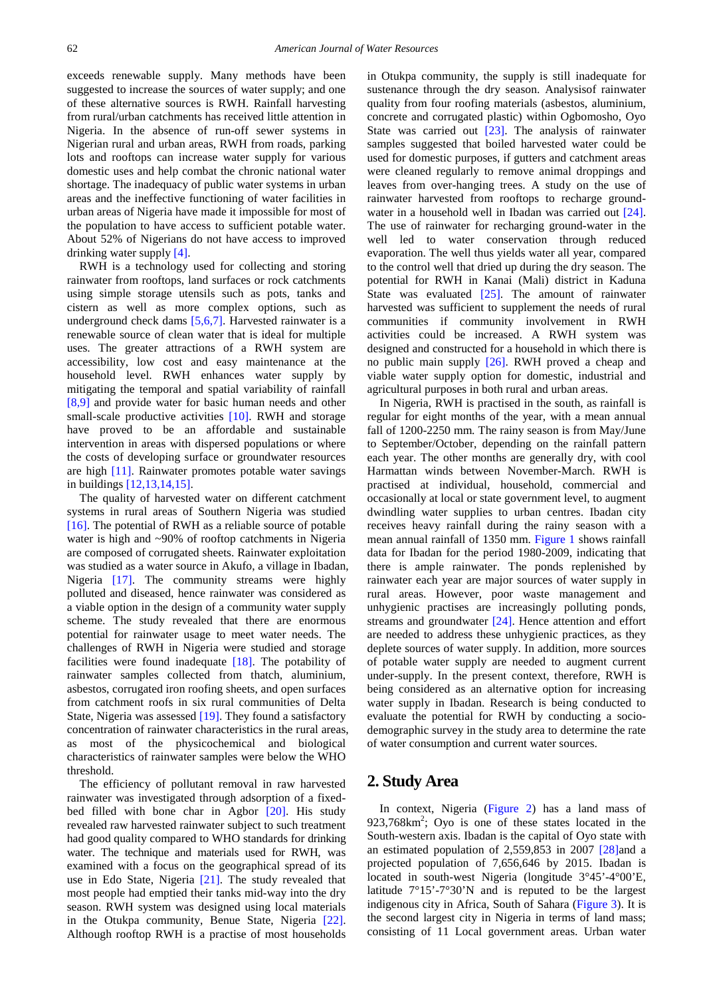exceeds renewable supply. Many methods have been suggested to increase the sources of water supply; and one of these alternative sources is RWH. Rainfall harvesting from rural/urban catchments has received little attention in Nigeria. In the absence of run-off sewer systems in Nigerian rural and urban areas, RWH from roads, parking lots and rooftops can increase water supply for various domestic uses and help combat the chronic national water shortage. The inadequacy of public water systems in urban areas and the ineffective functioning of water facilities in urban areas of Nigeria have made it impossible for most of the population to have access to sufficient potable water. About 52% of Nigerians do not have access to improved drinking water supply [\[4\].](#page-10-2)

RWH is a technology used for collecting and storing rainwater from rooftops, land surfaces or rock catchments using simple storage utensils such as pots, tanks and cistern as well as more complex options, such as underground check dams [\[5,6,7\].](#page-10-3) Harvested rainwater is a renewable source of clean water that is ideal for multiple uses. The greater attractions of a RWH system are accessibility, low cost and easy maintenance at the household level. RWH enhances water supply by mitigating the temporal and spatial variability of rainfall [\[8,9\]](#page-10-4) and provide water for basic human needs and other small-scale productive activities [\[10\].](#page-10-5) RWH and storage have proved to be an affordable and sustainable intervention in areas with dispersed populations or where the costs of developing surface or groundwater resources are high [\[11\].](#page-10-6) Rainwater promotes potable water savings in building[s \[12,13,14,15\].](#page-11-0)

The quality of harvested water on different catchment systems in rural areas of Southern Nigeria was studied [\[16\].](#page-11-1) The potential of RWH as a reliable source of potable water is high and ~90% of rooftop catchments in Nigeria are composed of corrugated sheets. Rainwater exploitation was studied as a water source in Akufo, a village in Ibadan, Nigeria [\[17\].](#page-11-2) The community streams were highly polluted and diseased, hence rainwater was considered as a viable option in the design of a community water supply scheme. The study revealed that there are enormous potential for rainwater usage to meet water needs. The challenges of RWH in Nigeria were studied and storage facilities were found inadequate [\[18\].](#page-11-3) The potability of rainwater samples collected from thatch, aluminium, asbestos, corrugated iron roofing sheets, and open surfaces from catchment roofs in six rural communities of Delta State, Nigeria was assessed [\[19\].](#page-11-4) They found a satisfactory concentration of rainwater characteristics in the rural areas, as most of the physicochemical and biological characteristics of rainwater samples were below the WHO threshold.

The efficiency of pollutant removal in raw harvested rainwater was investigated through adsorption of a fixedbed filled with bone char in Agbor [\[20\].](#page-11-5) His study revealed raw harvested rainwater subject to such treatment had good quality compared to WHO standards for drinking water. The technique and materials used for RWH, was examined with a focus on the geographical spread of its use in Edo State, Nigeria [\[21\].](#page-11-6) The study revealed that most people had emptied their tanks mid-way into the dry season. RWH system was designed using local materials in the Otukpa community, Benue State, Nigeria [\[22\].](#page-11-7) Although rooftop RWH is a practise of most households

in Otukpa community, the supply is still inadequate for sustenance through the dry season. Analysisof rainwater quality from four roofing materials (asbestos, aluminium, concrete and corrugated plastic) within Ogbomosho, Oyo State was carried out [\[23\].](#page-11-8) The analysis of rainwater samples suggested that boiled harvested water could be used for domestic purposes, if gutters and catchment areas were cleaned regularly to remove animal droppings and leaves from over-hanging trees. A study on the use of rainwater harvested from rooftops to recharge groundwater in a household well in Ibadan was carried out [\[24\].](#page-11-9) The use of rainwater for recharging ground-water in the well led to water conservation through reduced evaporation. The well thus yields water all year, compared to the control well that dried up during the dry season. The potential for RWH in Kanai (Mali) district in Kaduna State was evaluated [\[25\].](#page-11-10) The amount of rainwater harvested was sufficient to supplement the needs of rural communities if community involvement in RWH activities could be increased. A RWH system was designed and constructed for a household in which there is no public main supply [\[26\].](#page-11-11) RWH proved a cheap and viable water supply option for domestic, industrial and agricultural purposes in both rural and urban areas.

In Nigeria, RWH is practised in the south, as rainfall is regular for eight months of the year, with a mean annual fall of 1200-2250 mm. The rainy season is from May/June to September/October, depending on the rainfall pattern each year. The other months are generally dry, with cool Harmattan winds between November-March. RWH is practised at individual, household, commercial and occasionally at local or state government level, to augment dwindling water supplies to urban centres. Ibadan city receives heavy rainfall during the rainy season with a mean annual rainfall of 1350 mm. [Figure 1](#page-2-0) shows rainfall data for Ibadan for the period 1980-2009, indicating that there is ample rainwater. The ponds replenished by rainwater each year are major sources of water supply in rural areas. However, poor waste management and unhygienic practises are increasingly polluting ponds, streams and groundwater [\[24\].](#page-11-9) Hence attention and effort are needed to address these unhygienic practices, as they deplete sources of water supply. In addition, more sources of potable water supply are needed to augment current under-supply. In the present context, therefore, RWH is being considered as an alternative option for increasing water supply in Ibadan. Research is being conducted to evaluate the potential for RWH by conducting a sociodemographic survey in the study area to determine the rate of water consumption and current water sources.

## **2. Study Area**

In context, Nigeria [\(Figure 2\)](#page-2-1) has a land mass of 923,768km<sup>2</sup>; Oyo is one of these states located in the South-western axis. Ibadan is the capital of Oyo state with an estimated population of 2,559,853 in 2007 [\[28\]a](#page-11-12)nd a projected population of 7,656,646 by 2015. Ibadan is located in south-west Nigeria (longitude 3°45'-4°00'E, latitude 7°15'-7°30'N and is reputed to be the largest indigenous city in Africa, South of Sahara [\(Figure 3\)](#page-3-0). It is the second largest city in Nigeria in terms of land mass; consisting of 11 Local government areas. Urban water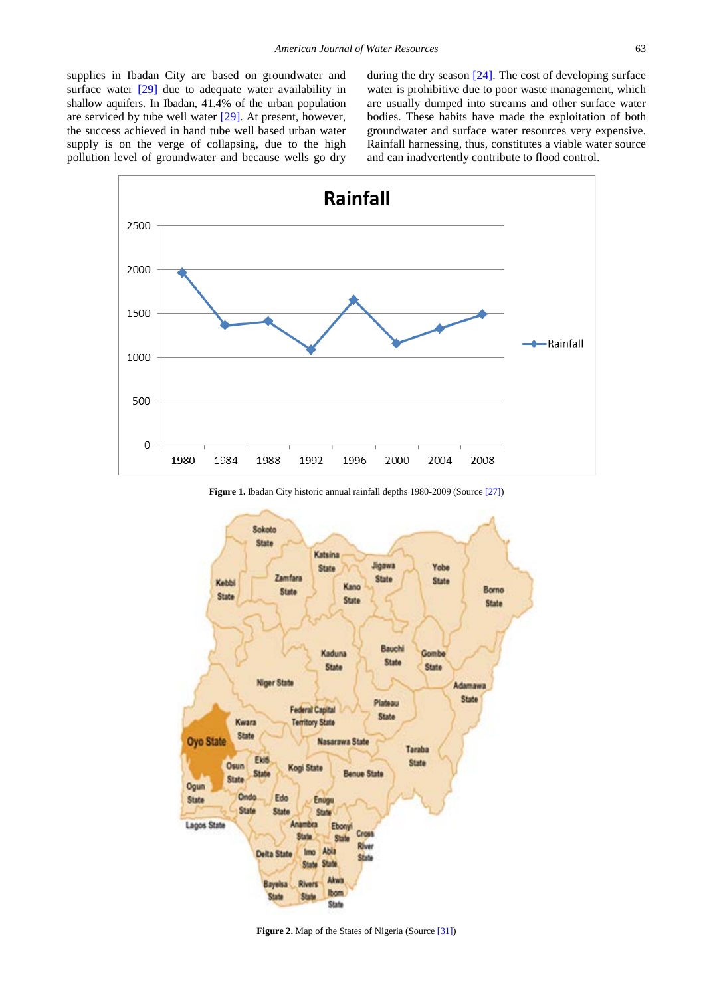supplies in Ibadan City are based on groundwater and surface water  $[29]$  due to adequate water availability in shallow aquifers. In Ibadan, 41.4% of the urban population are serviced by tube well water [\[29\].](#page-11-13) At present, however, the success achieved in hand tube well based urban water supply is on the verge of collapsing, due to the high pollution level of groundwater and because wells go dry during the dry season [\[24\].](#page-11-9) The cost of developing surface water is prohibitive due to poor waste management, which are usually dumped into streams and other surface water bodies. These habits have made the exploitation of both groundwater and surface water resources very expensive. Rainfall harnessing, thus, constitutes a viable water source and can inadvertently contribute to flood control.

<span id="page-2-0"></span>



<span id="page-2-1"></span>

**Figure 2.** Map of the States of Nigeria (Sourc[e \[31\]\)](#page-11-15)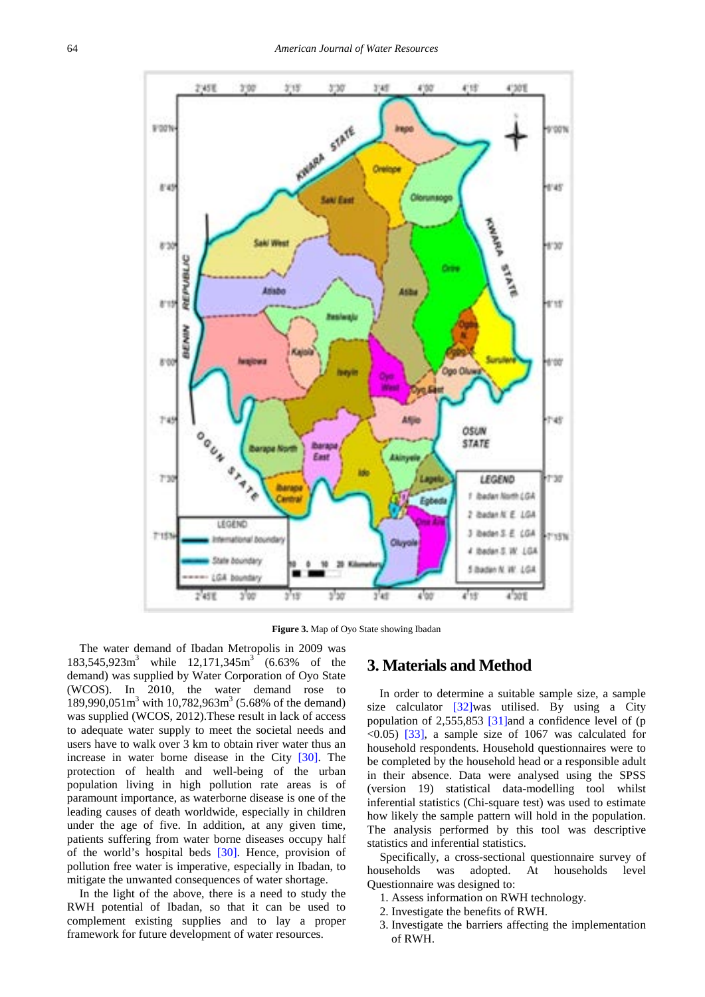<span id="page-3-0"></span>

**Figure 3.** Map of Oyo State showing Ibadan

The water demand of Ibadan Metropolis in 2009 was  $183,545,923$ m<sup>3</sup> while  $12,171,345$ m<sup>3</sup> (6.63% of the demand) was supplied by Water Corporation of Oyo State (WCOS). In 2010, the water demand rose to 189,990,051 $\text{m}^3$  with 10,782,963 $\text{m}^3$  (5.68% of the demand) was supplied (WCOS, 2012).These result in lack of access to adequate water supply to meet the societal needs and users have to walk over 3 km to obtain river water thus an increase in water borne disease in the City [\[30\].](#page-11-16) The protection of health and well-being of the urban population living in high pollution rate areas is of paramount importance, as waterborne disease is one of the leading causes of death worldwide, especially in children under the age of five. In addition, at any given time, patients suffering from water borne diseases occupy half of the world's hospital beds [\[30\].](#page-11-16) Hence, provision of pollution free water is imperative, especially in Ibadan, to mitigate the unwanted consequences of water shortage.

In the light of the above, there is a need to study the RWH potential of Ibadan, so that it can be used to complement existing supplies and to lay a proper framework for future development of water resources.

# **3. Materials and Method**

In order to determine a suitable sample size, a sample size calculator [\[32\]w](#page-11-17)as utilised. By using a City population of 2,555,853 [\[31\]a](#page-11-15)nd a confidence level of (p  $\leq$ 0.05) [\[33\],](#page-11-18) a sample size of 1067 was calculated for household respondents. Household questionnaires were to be completed by the household head or a responsible adult in their absence. Data were analysed using the SPSS (version 19) statistical data-modelling tool whilst inferential statistics (Chi-square test) was used to estimate how likely the sample pattern will hold in the population. The analysis performed by this tool was descriptive statistics and inferential statistics.

Specifically, a cross-sectional questionnaire survey of households was adopted. At households level Questionnaire was designed to:

- 1. Assess information on RWH technology.
- 2. Investigate the benefits of RWH.
- 3. Investigate the barriers affecting the implementation of RWH.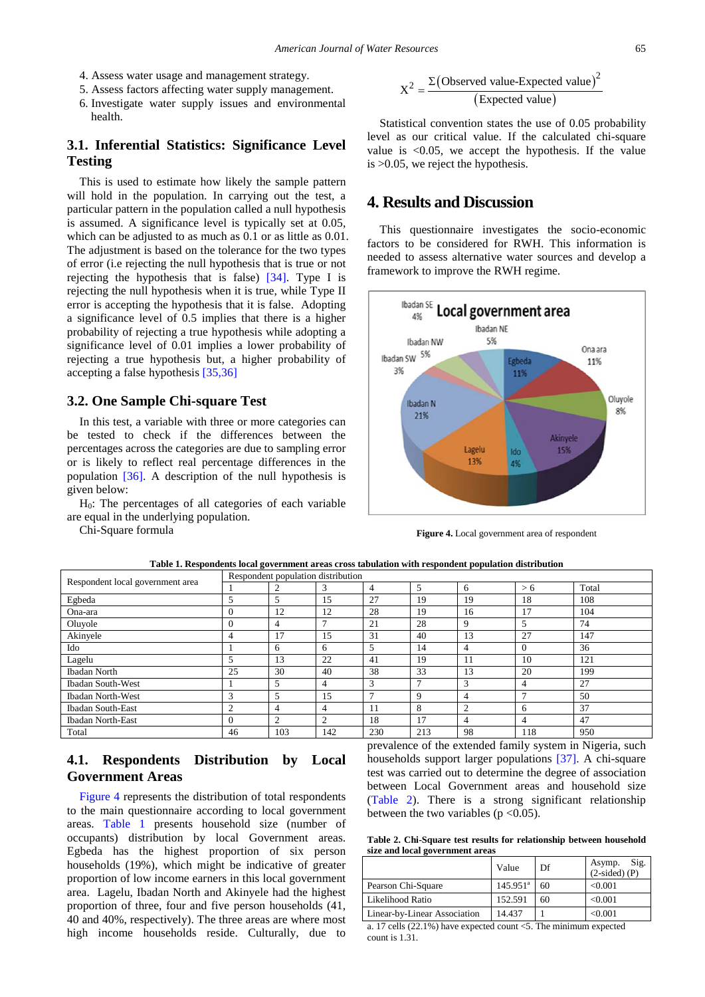- 4. Assess water usage and management strategy.
- 5. Assess factors affecting water supply management.
- 6. Investigate water supply issues and environmental health.

#### **3.1. Inferential Statistics: Significance Level Testing**

#### This is used to estimate how likely the sample pattern will hold in the population. In carrying out the test, a particular pattern in the population called a null hypothesis is assumed. A significance level is typically set at 0.05, which can be adjusted to as much as 0.1 or as little as 0.01. The adjustment is based on the tolerance for the two types of error (i.e rejecting the null hypothesis that is true or not rejecting the hypothesis that is false) [\[34\].](#page-11-19) Type I is rejecting the null hypothesis when it is true, while Type II error is accepting the hypothesis that it is false. Adopting a significance level of 0.5 implies that there is a higher probability of rejecting a true hypothesis while adopting a significance level of 0.01 implies a lower probability of rejecting a true hypothesis but, a higher probability of accepting a false hypothesis [\[35,36\]](#page-11-20)

#### **3.2. One Sample Chi-square Test**

In this test, a variable with three or more categories can be tested to check if the differences between the percentages across the categories are due to sampling error or is likely to reflect real percentage differences in the population [\[36\].](#page-11-21) A description of the null hypothesis is given below:

 $H<sub>0</sub>$ : The percentages of all categories of each variable are equal in the underlying population.

Chi-Square formula

$$
X^{2} = \frac{\Sigma\left(\text{Observed value-Expected value}\right)^{2}}{\text{(Expected value)}}
$$

Statistical convention states the use of 0.05 probability level as our critical value. If the calculated chi-square value is <0.05, we accept the hypothesis. If the value is >0.05, we reject the hypothesis.

#### **4. Results and Discussion**

This questionnaire investigates the socio-economic factors to be considered for RWH. This information is needed to assess alternative water sources and develop a framework to improve the RWH regime.

<span id="page-4-0"></span>

**Figure 4.** Local government area of respondent

<span id="page-4-1"></span>

| Respondent local government area | Respondent population distribution |                |     |     |     |          |                |       |  |
|----------------------------------|------------------------------------|----------------|-----|-----|-----|----------|----------------|-------|--|
|                                  |                                    |                |     | 4   |     | 6        | > 6            | Total |  |
| Egbeda                           |                                    | 5              | 15  | 27  | 19  | 19       | 18             | 108   |  |
| Ona-ara                          | $\Omega$                           | 12             | 12  | 28  | 19  | 16       | 17             | 104   |  |
| Oluyole                          | $\Omega$                           |                |     | 21  | 28  | $\Omega$ | 5              | 74    |  |
| Akinyele                         | 4                                  | 17             | 15  | 31  | 40  | 13       | 27             | 147   |  |
| Ido                              |                                    | 6              | 6   |     | 14  | 4        | $\Omega$       | 36    |  |
| Lagelu                           |                                    | 13             | 22  | 41  | 19  | 11       | 10             | 121   |  |
| <b>Ibadan North</b>              | 25                                 | 30             | 40  | 38  | 33  | 13       | 20             | 199   |  |
| <b>Ibadan South-West</b>         |                                    |                | 4   | 3   |     | 3        | $\overline{4}$ | 27    |  |
| <b>Ibadan North-West</b>         | 3                                  | 5              | 15  |     | 9   | 4        | $\overline{ }$ | 50    |  |
| <b>Ibadan South-East</b>         | $\mathcal{L}$                      | 4              | 4   | -11 | 8   | $\sim$   | 6              | 37    |  |
| <b>Ibadan North-East</b>         | $\Omega$                           | $\overline{2}$ | 2   | 18  | 17  | 4        | 4              | 47    |  |
| Total                            | 46                                 | 103            | 142 | 230 | 213 | 98       | 118            | 950   |  |

**Table 1. Respondents local government areas cross tabulation with respondent population distribution**

## **4.1. Respondents Distribution by Local Government Areas**

[Figure 4](#page-4-0) represents the distribution of total respondents to the main questionnaire according to local government areas. [Table 1](#page-4-1) presents household size (number of occupants) distribution by local Government areas. Egbeda has the highest proportion of six person households (19%), which might be indicative of greater proportion of low income earners in this local government area. Lagelu, Ibadan North and Akinyele had the highest proportion of three, four and five person households (41, 40 and 40%, respectively). The three areas are where most high income households reside. Culturally, due to

prevalence of the extended family system in Nigeria, such households support larger populations [\[37\].](#page-11-22) A chi-square test was carried out to determine the degree of association between Local Government areas and household size [\(Table 2\)](#page-4-2). There is a strong significant relationship between the two variables ( $p \le 0.05$ ).

**Table 2. Chi-Square test results for relationship between household size and local government areas**

<span id="page-4-2"></span>

|                              | Value             | Df  | Sig.<br>Asymp.<br>$(2-sided)$ (P) |
|------------------------------|-------------------|-----|-----------------------------------|
| Pearson Chi-Square           | $145.951^{\circ}$ | -60 | < 0.001                           |
| Likelihood Ratio             | 152.591           | 60  | < 0.001                           |
| Linear-by-Linear Association | 14.437            |     | < 0.001                           |

a. 17 cells (22.1%) have expected count <5. The minimum expected count is 1.31.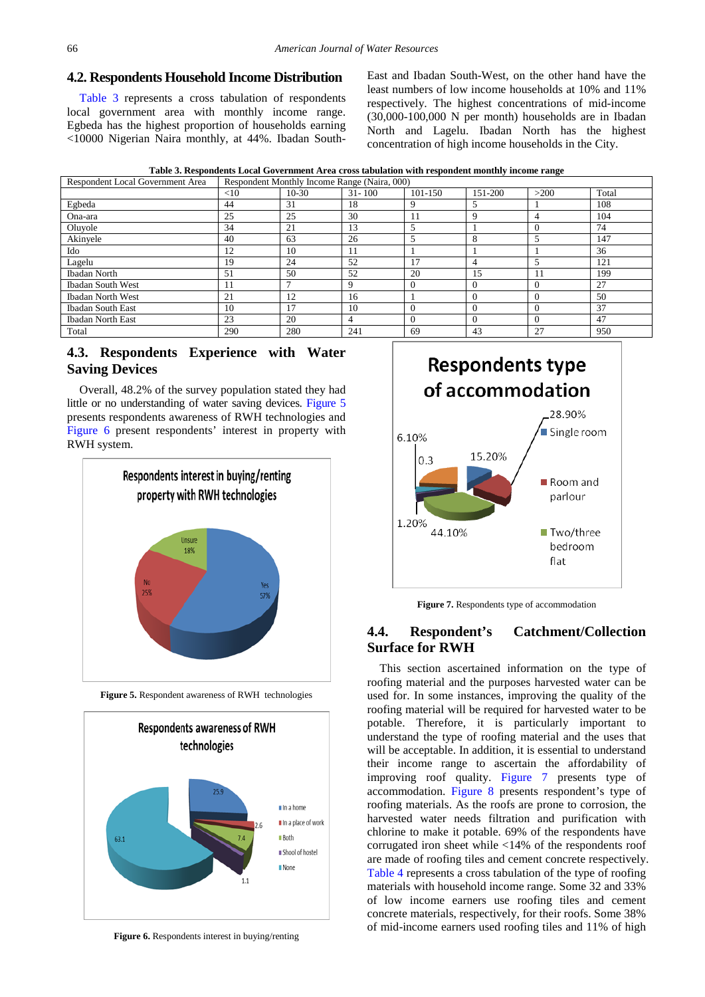#### **4.2. Respondents Household Income Distribution**

[Table 3](#page-5-0) represents a cross tabulation of respondents local government area with monthly income range. Egbeda has the highest proportion of households earning <10000 Nigerian Naira monthly, at 44%. Ibadan SouthEast and Ibadan South-West, on the other hand have the least numbers of low income households at 10% and 11% respectively. The highest concentrations of mid-income (30,000-100,000 N per month) households are in Ibadan North and Lagelu. Ibadan North has the highest concentration of high income households in the City.



<span id="page-5-0"></span>

| Respondent Local Government Area |        |         | Respondent Monthly Income Range (Naira, 000) |          |          |          |       |
|----------------------------------|--------|---------|----------------------------------------------|----------|----------|----------|-------|
|                                  | $<$ 10 | $10-30$ | $31 - 100$                                   | 101-150  | 151-200  | >200     | Total |
| Egbeda                           | 44     | 31      | 18                                           | 9        | 5        |          | 108   |
| Ona-ara                          | 25     | 25      | 30                                           | 11       | 9        | 4        | 104   |
| Oluyole                          | 34     | 21      | 13                                           | 5        |          | 0        | 74    |
| Akinyele                         | 40     | 63      | 26                                           | 5        | 8        | 5        | 147   |
| Ido                              | 12     | 10      | 11                                           |          |          |          | 36    |
| Lagelu                           | 19     | 24      | 52                                           | 17       | 4        |          | 121   |
| Ibadan North                     | 51     | 50      | 52                                           | 20       | 15       | 11       | 199   |
| <b>Ibadan South West</b>         | 11     | 7       | 9                                            | $\Omega$ | $\Omega$ | $\theta$ | 27    |
| Ibadan North West                | 21     | 12      | 16                                           |          | $\Omega$ | $\Omega$ | 50    |
| Ibadan South East                | 10     | 17      | 10                                           | $\Omega$ | $\theta$ | $\Omega$ | 37    |
| Ibadan North East                | 23     | 20      | 4                                            | $\theta$ | $\theta$ | $\Omega$ | 47    |
| Total                            | 290    | 280     | 241                                          | 69       | 43       | 27       | 950   |

## **4.3. Respondents Experience with Water Saving Devices**

Overall, 48.2% of the survey population stated they had little or no understanding of water saving devices. [Figure 5](#page-5-1) presents respondents awareness of RWH technologies and [Figure 6](#page-5-2) present respondents' interest in property with RWH system.

<span id="page-5-1"></span>

**Figure 5.** Respondent awareness of RWH technologies

<span id="page-5-2"></span>

Figure 6. Respondents interest in buying/renting

<span id="page-5-3"></span>

**Figure 7.** Respondents type of accommodation

## **4.4. Respondent's Catchment/Collection Surface for RWH**

This section ascertained information on the type of roofing material and the purposes harvested water can be used for. In some instances, improving the quality of the roofing material will be required for harvested water to be potable. Therefore, it is particularly important to understand the type of roofing material and the uses that will be acceptable. In addition, it is essential to understand their income range to ascertain the affordability of improving roof quality. [Figure 7](#page-5-3) presents type of accommodation. [Figure 8](#page-6-0) presents respondent's type of roofing materials. As the roofs are prone to corrosion, the harvested water needs filtration and purification with chlorine to make it potable. 69% of the respondents have corrugated iron sheet while <14% of the respondents roof are made of roofing tiles and cement concrete respectively. [Table 4](#page-6-1) represents a cross tabulation of the type of roofing materials with household income range. Some 32 and 33% of low income earners use roofing tiles and cement concrete materials, respectively, for their roofs. Some 38% of mid-income earners used roofing tiles and 11% of high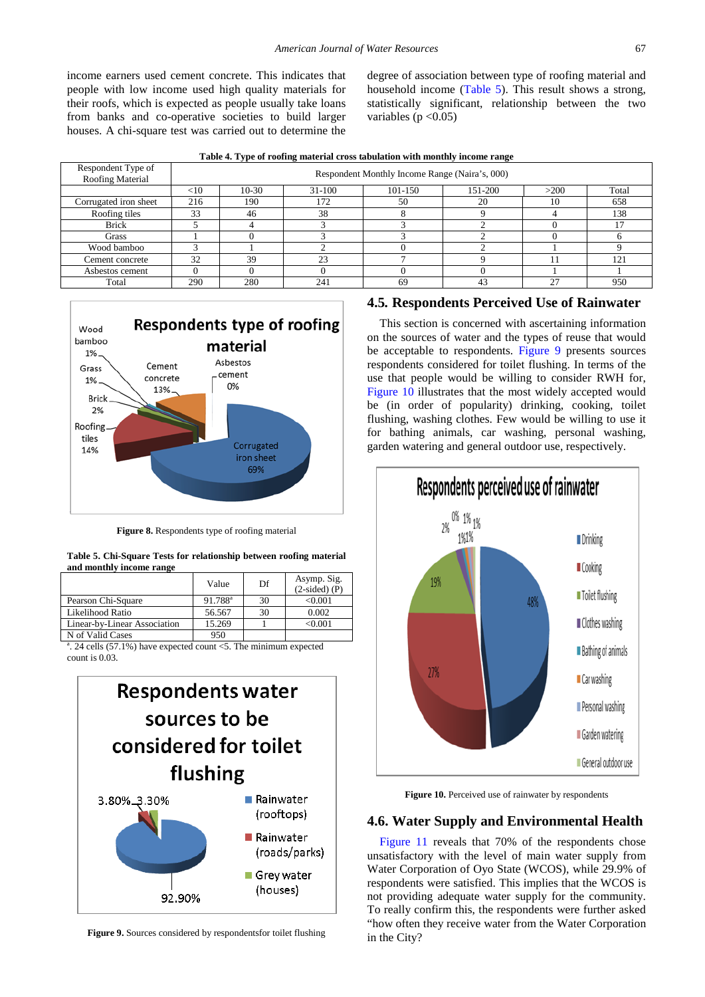income earners used cement concrete. This indicates that people with low income used high quality materials for their roofs, which is expected as people usually take loans from banks and co-operative societies to build larger houses. A chi-square test was carried out to determine the

degree of association between type of roofing material and household income [\(Table 5\)](#page-6-2). This result shows a strong, statistically significant, relationship between the two variables ( $p < 0.05$ )

| Table 4. Type of roofing material cross tabulation with monthly income range |  |  |
|------------------------------------------------------------------------------|--|--|
|------------------------------------------------------------------------------|--|--|

<span id="page-6-1"></span>

| Respondent Type of<br>Roofing Material |     | . .<br>$\cdot$<br>$\cdot$<br>Respondent Monthly Income Range (Naira's, 000) |        |         |         |      |              |  |  |  |
|----------------------------------------|-----|-----------------------------------------------------------------------------|--------|---------|---------|------|--------------|--|--|--|
|                                        | <10 | $10-30$                                                                     | 31-100 | 101-150 | 151-200 | >200 | Total        |  |  |  |
| Corrugated iron sheet                  | 216 | 190                                                                         | 172    | 50      | 20      | 10   | 658          |  |  |  |
| Roofing tiles                          | 33  | 46                                                                          | 38     |         |         |      | 138          |  |  |  |
| <b>Brick</b>                           |     |                                                                             |        |         |         |      |              |  |  |  |
| Grass                                  |     |                                                                             |        |         |         |      |              |  |  |  |
| Wood bamboo                            |     |                                                                             |        |         |         |      |              |  |  |  |
| Cement concrete                        | 32  | 39                                                                          | 23     |         |         |      | $12^{\circ}$ |  |  |  |
| Asbestos cement                        |     |                                                                             |        |         |         |      |              |  |  |  |
| Total                                  | 290 | 280                                                                         | 241    | 69      |         | 27   | 950          |  |  |  |

<span id="page-6-0"></span>

**Figure 8.** Respondents type of roofing material

|                          |  | Table 5. Chi-Square Tests for relationship between roofing material |  |  |
|--------------------------|--|---------------------------------------------------------------------|--|--|
| and monthly income range |  |                                                                     |  |  |

<span id="page-6-2"></span>

|                              | Value            | Df | Asymp. Sig.<br>$(2-sided)$ (P) |
|------------------------------|------------------|----|--------------------------------|
| Pearson Chi-Square           | $91.788^{\rm a}$ | 30 | < 0.001                        |
| Likelihood Ratio             | 56.567           | 30 | 0.002                          |
| Linear-by-Linear Association | 15.269           |    | < 0.001                        |
| N of Valid Cases             | 950              |    |                                |

a . 24 cells (57.1%) have expected count <5. The minimum expected count is 0.03.

<span id="page-6-3"></span>

**Figure 9.** Sources considered by respondentsfor toilet flushing

## **4.5***.* **Respondents Perceived Use of Rainwater**

This section is concerned with ascertaining information on the sources of water and the types of reuse that would be acceptable to respondents. [Figure 9](#page-6-3) presents sources respondents considered for toilet flushing. In terms of the use that people would be willing to consider RWH for, [Figure 10](#page-6-4) illustrates that the most widely accepted would be (in order of popularity) drinking, cooking, toilet flushing, washing clothes. Few would be willing to use it for bathing animals, car washing, personal washing, garden watering and general outdoor use, respectively.

<span id="page-6-4"></span>

Figure 10. Perceived use of rainwater by respondents

#### **4.6. Water Supply and Environmental Health**

[Figure 11](#page-7-0) reveals that 70% of the respondents chose unsatisfactory with the level of main water supply from Water Corporation of Oyo State (WCOS), while 29.9% of respondents were satisfied. This implies that the WCOS is not providing adequate water supply for the community. To really confirm this, the respondents were further asked "how often they receive water from the Water Corporation in the City?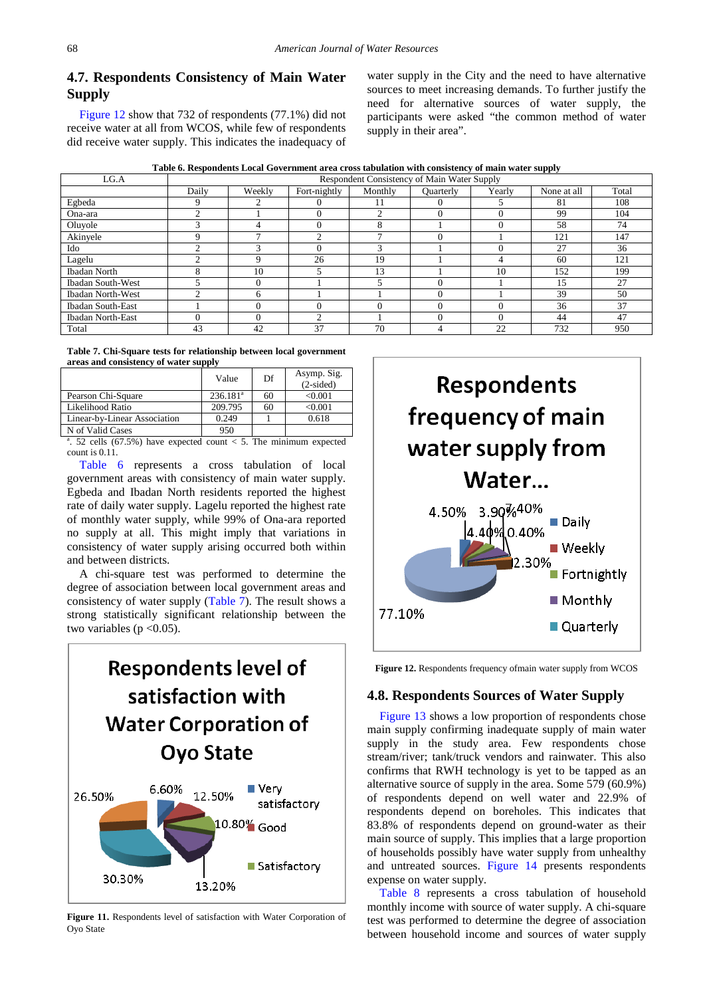## **4.7. Respondents Consistency of Main Water Supply**

[Figure](#page-7-1) 12 show that 732 of respondents (77.1%) did not receive water at all from WCOS, while few of respondents did receive water supply. This indicates the inadequacy of water supply in the City and the need to have alternative sources to meet increasing demands. To further justify the need for alternative sources of water supply, the participants were asked "the common method of water supply in their area".

**Table 6. Respondents Local Government area cross tabulation with consistency of main water supply**

<span id="page-7-2"></span>

| LG.A                     |       |        |              |          | Respondent Consistency of Main Water Supply |        |             |       |
|--------------------------|-------|--------|--------------|----------|---------------------------------------------|--------|-------------|-------|
|                          | Daily | Weekly | Fort-nightly | Monthly  | <b>Ouarterly</b>                            | Yearly | None at all | Total |
| Egbeda                   | 9     | $\sim$ |              | 11       |                                             |        | 81          | 108   |
| Ona-ara                  |       |        |              | ◠        |                                             |        | 99          | 104   |
| Oluvole                  |       |        |              | 8        |                                             |        | 58          | 74    |
| Akinyele                 | Q     |        | ◠            |          |                                             |        | 121         | 147   |
| Ido                      |       |        |              | 3        |                                             |        | 27          | 36    |
| Lagelu                   | ◠     | a      | 26           | 19       |                                             |        | 60          | 121   |
| <b>Ibadan North</b>      | л.    | 10     |              | 13       |                                             | 10     | 152         | 199   |
| <b>Ibadan South-West</b> |       |        |              |          |                                             |        | 15          | 27    |
| <b>Ibadan North-West</b> |       | h      |              |          |                                             |        | 39          | 50    |
| <b>Ibadan South-East</b> |       |        |              | $\Omega$ |                                             |        | 36          | 37    |
| <b>Ibadan North-East</b> |       |        | $\bigcap$    |          |                                             |        | 44          | 47    |
| Total                    | 43    | 42     | 37           | 70       | 4                                           | 22     | 732         | 950   |

**Table 7. Chi-Square tests for relationship between local government areas and consistency of water supply**

<span id="page-7-3"></span>

|                                                                        | Value                | Df | Asymp. Sig.<br>$(2-sided)$ |
|------------------------------------------------------------------------|----------------------|----|----------------------------|
| Pearson Chi-Square                                                     | 236.181 <sup>a</sup> | 60 | < 0.001                    |
| Likelihood Ratio                                                       | 209.795              | 60 | < 0.001                    |
| Linear-by-Linear Association                                           | 0.249                |    | 0.618                      |
| N of Valid Cases                                                       | 950                  |    |                            |
| 52 cells $(67.5\%)$ have expected count $\lt 5$ . The minimum expected |                      |    |                            |

have expected count  $<$  5. The minimum count is 0.11.

[Table 6](#page-7-2) represents a cross tabulation of local government areas with consistency of main water supply. Egbeda and Ibadan North residents reported the highest rate of daily water supply. Lagelu reported the highest rate of monthly water supply, while 99% of Ona-ara reported no supply at all. This might imply that variations in consistency of water supply arising occurred both within and between districts.

A chi-square test was performed to determine the degree of association between local government areas and consistency of water supply [\(Table 7\)](#page-7-3). The result shows a strong statistically significant relationship between the two variables ( $p < 0.05$ ).

<span id="page-7-0"></span>

**Figure 11.** Respondents level of satisfaction with Water Corporation of Oyo State

<span id="page-7-1"></span>

**Figure 12.** Respondents frequency ofmain water supply from WCOS

#### **4.8. Respondents Sources of Water Supply**

[Figure 13](#page-8-0) shows a low proportion of respondents chose main supply confirming inadequate supply of main water supply in the study area. Few respondents chose stream/river; tank/truck vendors and rainwater. This also confirms that RWH technology is yet to be tapped as an alternative source of supply in the area. Some 579 (60.9%) of respondents depend on well water and 22.9% of respondents depend on boreholes. This indicates that 83.8% of respondents depend on ground-water as their main source of supply. This implies that a large proportion of households possibly have water supply from unhealthy and untreated sources. [Figure 14](#page-8-1) presents respondents expense on water supply.

[Table 8](#page-8-2) represents a cross tabulation of household monthly income with source of water supply. A chi-square test was performed to determine the degree of association between household income and sources of water supply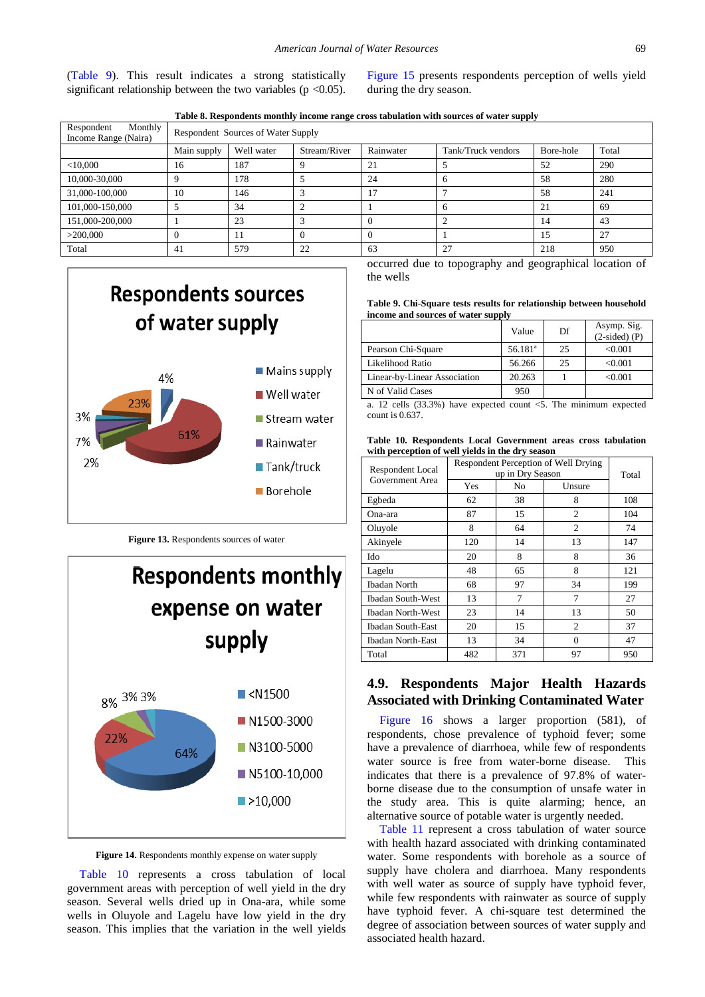[\(Table 9\)](#page-8-3). This result indicates a strong statistically significant relationship between the two variables ( $p \le 0.05$ ). [Figure 15](#page-9-0) presents respondents perception of wells yield during the dry season.

| Table 8. Respondents monthly income range cross tabulation with sources of water supply |
|-----------------------------------------------------------------------------------------|
|-----------------------------------------------------------------------------------------|

<span id="page-8-2"></span>

| Monthly<br>Respondent<br>Income Range (Naira) | <b>Respondent Sources of Water Supply</b> |            |              |           |                    |           |       |  |  |
|-----------------------------------------------|-------------------------------------------|------------|--------------|-----------|--------------------|-----------|-------|--|--|
|                                               | Main supply                               | Well water | Stream/River | Rainwater | Tank/Truck vendors | Bore-hole | Total |  |  |
| $<$ 10,000                                    | 16                                        | 187        | 9            | 21        |                    | 52        | 290   |  |  |
| 10,000-30,000                                 | Q                                         | 178        |              | 24        | h                  | 58        | 280   |  |  |
| 31,000-100,000                                | 10                                        | 146        | $\sqrt{2}$   | 17        |                    | 58        | 241   |  |  |
| 101,000-150,000                               |                                           | 34         | ◠            |           | h                  | 21        | 69    |  |  |
| 151,000-200,000                               |                                           | 23         | 3            |           |                    | 14        | 43    |  |  |
| >200,000                                      |                                           | 11         | $\Omega$     |           |                    | 15        | 27    |  |  |
| Total                                         | 41                                        | 579        | 22           | 63        | 27                 | 218       | 950   |  |  |

<span id="page-8-0"></span>

**Figure 13.** Respondents sources of water

<span id="page-8-1"></span>

**Figure 14.** Respondents monthly expense on water supply

[Table 10](#page-8-4) represents a cross tabulation of local government areas with perception of well yield in the dry season. Several wells dried up in Ona-ara, while some wells in Oluyole and Lagelu have low yield in the dry season. This implies that the variation in the well yields occurred due to topography and geographical location of the wells

|                                    |  | Table 9. Chi-Square tests results for relationship between household |  |
|------------------------------------|--|----------------------------------------------------------------------|--|
| income and sources of water supply |  |                                                                      |  |

<span id="page-8-3"></span>

|                              | Value                 | Df | Asymp. Sig.<br>$(2-sided)$ (P) |
|------------------------------|-----------------------|----|--------------------------------|
| Pearson Chi-Square           | $56.181$ <sup>a</sup> | 25 | < 0.001                        |
| Likelihood Ratio             | 56.266                | 25 | < 0.001                        |
| Linear-by-Linear Association | 20.263                |    | < 0.001                        |
| N of Valid Cases             | 950                   |    |                                |

a. 12 cells (33.3%) have expected count <5. The minimum expected count is 0.637.

**Table 10. Respondents Local Government areas cross tabulation with perception of well yields in the dry season**

<span id="page-8-4"></span>

| Respondent Local  | Respondent Perception of Well Drying<br>up in Dry Season | Total |                |     |
|-------------------|----------------------------------------------------------|-------|----------------|-----|
| Government Area   | Yes<br>Unsure<br>No                                      |       |                |     |
| Egbeda            | 62                                                       | 38    | 8              | 108 |
| Ona-ara           | 87                                                       | 15    | $\overline{c}$ | 104 |
| Oluyole           | 8                                                        | 64    | 2              | 74  |
| Akinyele          | 120                                                      | 14    | 13             | 147 |
| Ido               | 20                                                       | 8     | 8              | 36  |
| Lagelu            | 48                                                       | 65    | 8              | 121 |
| Ibadan North      | 68                                                       | 97    | 34             | 199 |
| Ibadan South-West | 13                                                       | 7     | 7              | 27  |
| Ibadan North-West | 23                                                       | 14    | 13             | 50  |
| Ibadan South-East | 20                                                       | 15    | 2              | 37  |
| Ibadan North-East | 13                                                       | 34    | $\Omega$       | 47  |
| Total             | 482                                                      | 371   | 97             | 950 |

## **4.9. Respondents Major Health Hazards Associated with Drinking Contaminated Water**

[Figure 16](#page-9-1) shows a larger proportion (581), of respondents, chose prevalence of typhoid fever; some have a prevalence of diarrhoea, while few of respondents water source is free from water-borne disease. This indicates that there is a prevalence of 97.8% of waterborne disease due to the consumption of unsafe water in the study area. This is quite alarming; hence, an alternative source of potable water is urgently needed.

[Table 11](#page-9-2) represent a cross tabulation of water source with health hazard associated with drinking contaminated water. Some respondents with borehole as a source of supply have cholera and diarrhoea. Many respondents with well water as source of supply have typhoid fever, while few respondents with rainwater as source of supply have typhoid fever. A chi-square test determined the degree of association between sources of water supply and associated health hazard.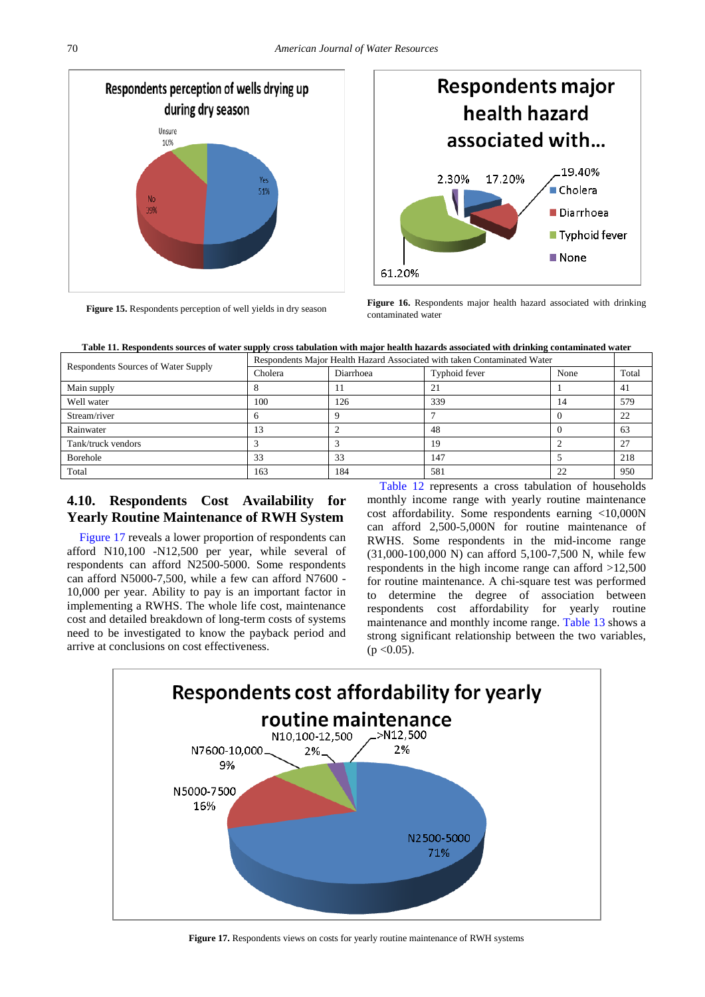<span id="page-9-0"></span>

<span id="page-9-1"></span>

**Figure 15.** Respondents perception of well yields in dry season **Figure 16.** Respondents major health hazard associated with drinking contaminated water



<span id="page-9-2"></span>

| Respondents Sources of Water Supply | Respondents Major Health Hazard Associated with taken Contaminated Water |                  |               |      |       |
|-------------------------------------|--------------------------------------------------------------------------|------------------|---------------|------|-------|
|                                     | Cholera                                                                  | <b>Diarrhoea</b> | Typhoid fever | None | Total |
| Main supply                         |                                                                          |                  | ∠⊥            |      | 41    |
| Well water                          | 100                                                                      | 126              | 339           | 14   | 579   |
| Stream/river                        |                                                                          |                  |               |      | 22    |
| Rainwater                           | $\mathcal{A}$                                                            |                  | 48            |      | 63    |
| Tank/truck vendors                  |                                                                          |                  | 19            |      | 27    |
| <b>Borehole</b>                     | 33                                                                       | 33               | 147           |      | 218   |
| Total                               | 163                                                                      | 184              | 581           | 22   | 950   |

## **4.10. Respondents Cost Availability for Yearly Routine Maintenance of RWH System**

[Figure 17](#page-9-3) reveals a lower proportion of respondents can afford N10,100 -N12,500 per year, while several of respondents can afford N2500-5000. Some respondents can afford N5000-7,500, while a few can afford N7600 - 10,000 per year. Ability to pay is an important factor in implementing a RWHS. The whole life cost, maintenance cost and detailed breakdown of long-term costs of systems need to be investigated to know the payback period and arrive at conclusions on cost effectiveness.

[Table 12](#page-10-7) represents a cross tabulation of households monthly income range with yearly routine maintenance cost affordability. Some respondents earning <10,000N can afford 2,500-5,000N for routine maintenance of RWHS. Some respondents in the mid-income range (31,000-100,000 N) can afford 5,100-7,500 N, while few respondents in the high income range can afford >12,500 for routine maintenance. A chi-square test was performed to determine the degree of association between respondents cost affordability for yearly routine maintenance and monthly income range. [Table 13](#page-10-8) shows a strong significant relationship between the two variables,  $(p < 0.05)$ .

<span id="page-9-3"></span>

**Figure 17.** Respondents views on costs for yearly routine maintenance of RWH systems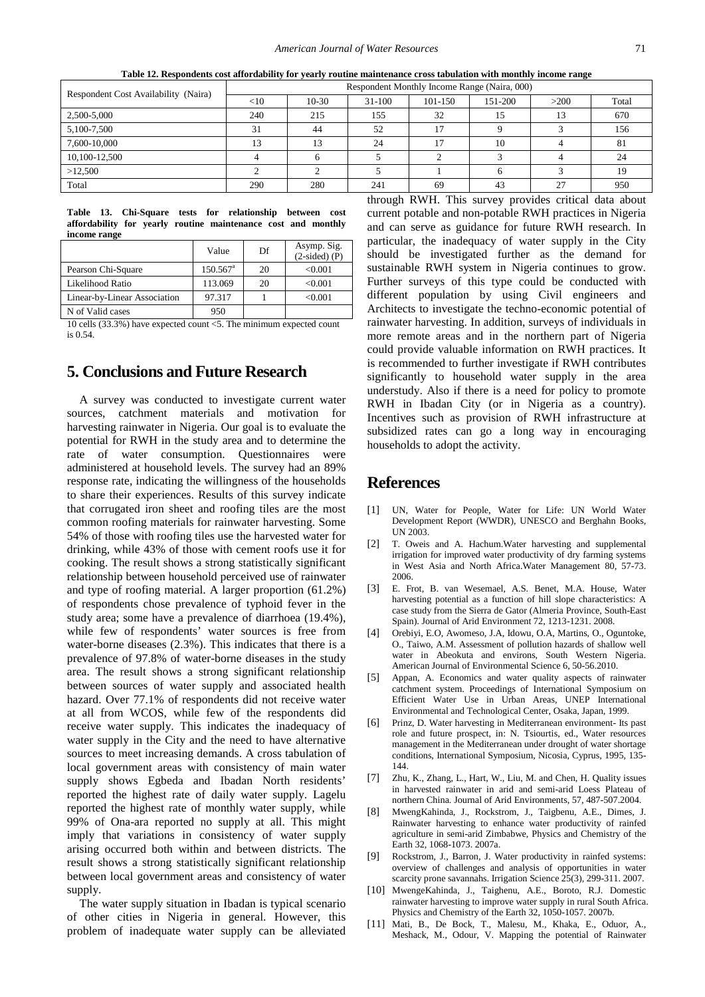<span id="page-10-7"></span>

| Respondent Cost Availability (Naira) | Respondent Monthly Income Range (Naira, 000) |         |            |             |         |      |       |
|--------------------------------------|----------------------------------------------|---------|------------|-------------|---------|------|-------|
|                                      | $<$ 10                                       | $10-30$ | $31 - 100$ | $101 - 150$ | 151-200 | >200 | Total |
| 2,500-5,000                          | 240                                          | 215     | 155        | 32          | 15      | 13   | 670   |
| 5,100-7,500                          | 31                                           | 44      | 52         | 17          |         |      | 156   |
| 7,600-10,000                         | 13                                           | 13      | 24         | 17          | 10      |      | 81    |
| 10,100-12,500                        |                                              |         |            |             |         |      | 24    |
| >12,500                              |                                              |         |            |             |         |      | 19    |
| Total                                | 290                                          | 280     | 241        | 69          | 43      | 27   | 950   |

**Table 12. Respondents cost affordability for yearly routine maintenance cross tabulation with monthly income range**

**Table 13. Chi-Square tests for relationship between cost affordability for yearly routine maintenance cost and monthly income range**

<span id="page-10-8"></span>

|                              | Value                  | Df | Asymp. Sig.<br>$(2-sided)$ (P) |
|------------------------------|------------------------|----|--------------------------------|
| Pearson Chi-Square           | $150.567$ <sup>a</sup> | 20 | < 0.001                        |
| Likelihood Ratio             | 113.069                | 20 | < 0.001                        |
| Linear-by-Linear Association | 97.317                 |    | < 0.001                        |
| N of Valid cases             | 950                    |    |                                |

10 cells (33.3%) have expected count <5. The minimum expected count is 0.54.

## **5. Conclusions and Future Research**

A survey was conducted to investigate current water sources, catchment materials and motivation for harvesting rainwater in Nigeria. Our goal is to evaluate the potential for RWH in the study area and to determine the rate of water consumption. Questionnaires were administered at household levels. The survey had an 89% response rate, indicating the willingness of the households to share their experiences. Results of this survey indicate that corrugated iron sheet and roofing tiles are the most common roofing materials for rainwater harvesting. Some 54% of those with roofing tiles use the harvested water for drinking, while 43% of those with cement roofs use it for cooking. The result shows a strong statistically significant relationship between household perceived use of rainwater and type of roofing material. A larger proportion (61.2%) of respondents chose prevalence of typhoid fever in the study area; some have a prevalence of diarrhoea (19.4%), while few of respondents' water sources is free from water-borne diseases (2.3%). This indicates that there is a prevalence of 97.8% of water-borne diseases in the study area. The result shows a strong significant relationship between sources of water supply and associated health hazard. Over 77.1% of respondents did not receive water at all from WCOS, while few of the respondents did receive water supply. This indicates the inadequacy of water supply in the City and the need to have alternative sources to meet increasing demands. A cross tabulation of local government areas with consistency of main water supply shows Egbeda and Ibadan North residents' reported the highest rate of daily water supply. Lagelu reported the highest rate of monthly water supply, while 99% of Ona-ara reported no supply at all. This might imply that variations in consistency of water supply arising occurred both within and between districts. The result shows a strong statistically significant relationship between local government areas and consistency of water supply.

The water supply situation in Ibadan is typical scenario of other cities in Nigeria in general. However, this problem of inadequate water supply can be alleviated through RWH. This survey provides critical data about current potable and non-potable RWH practices in Nigeria and can serve as guidance for future RWH research. In particular, the inadequacy of water supply in the City should be investigated further as the demand for sustainable RWH system in Nigeria continues to grow. Further surveys of this type could be conducted with different population by using Civil engineers and Architects to investigate the techno-economic potential of rainwater harvesting. In addition, surveys of individuals in more remote areas and in the northern part of Nigeria could provide valuable information on RWH practices. It is recommended to further investigate if RWH contributes significantly to household water supply in the area understudy. Also if there is a need for policy to promote RWH in Ibadan City (or in Nigeria as a country). Incentives such as provision of RWH infrastructure at subsidized rates can go a long way in encouraging households to adopt the activity.

#### **References**

- <span id="page-10-0"></span>[1] UN, Water for People, Water for Life: UN World Water Development Report (WWDR), UNESCO and Berghahn Books, UN 2003.
- <span id="page-10-1"></span>[2] T. Oweis and A. Hachum.Water harvesting and supplemental irrigation for improved water productivity of dry farming systems in West Asia and North Africa.Water Management 80, 57-73. 2006.
- [3] E. Frot, B. van Wesemael, A.S. Benet, M.A. House, Water harvesting potential as a function of hill slope characteristics: A case study from the Sierra de Gator (Almeria Province, South-East Spain). Journal of Arid Environment 72, 1213-1231. 2008.
- <span id="page-10-2"></span>[4] Orebiyi, E.O, Awomeso, J.A, Idowu, O.A, Martins, O., Oguntoke, O., Taiwo, A.M. Assessment of pollution hazards of shallow well water in Abeokuta and environs, South Western Nigeria. American Journal of Environmental Science 6, 50-56.2010.
- <span id="page-10-3"></span>[5] Appan, A. Economics and water quality aspects of rainwater catchment system. Proceedings of International Symposium on Efficient Water Use in Urban Areas, UNEP International Environmental and Technological Center, Osaka, Japan, 1999.
- [6] Prinz, D. Water harvesting in Mediterranean environment- Its past role and future prospect, in: N. Tsiourtis, ed., Water resources management in the Mediterranean under drought of water shortage conditions, International Symposium, Nicosia, Cyprus, 1995, 135- 144.
- [7] Zhu, K., Zhang, L., Hart, W., Liu, M. and Chen, H. Quality issues in harvested rainwater in arid and semi-arid Loess Plateau of northern China. Journal of Arid Environments, 57, 487-507.2004.
- <span id="page-10-4"></span>[8] MwengKahinda, J., Rockstrom, J., Taigbenu, A.E., Dimes, J. Rainwater harvesting to enhance water productivity of rainfed agriculture in semi-arid Zimbabwe, Physics and Chemistry of the Earth 32, 1068-1073. 2007a.
- Rockstrom, J., Barron, J. Water productivity in rainfed systems: overview of challenges and analysis of opportunities in water scarcity prone savannahs. Irrigation Science 25(3), 299-311. 2007.
- <span id="page-10-5"></span>[10] MwengeKahinda, J., Taighenu, A.E., Boroto, R.J. Domestic rainwater harvesting to improve water supply in rural South Africa. Physics and Chemistry of the Earth 32, 1050-1057. 2007b.
- <span id="page-10-6"></span>[11] Mati, B., De Bock, T., Malesu, M., Khaka, E., Oduor, A., Meshack, M., Odour, V. Mapping the potential of Rainwater